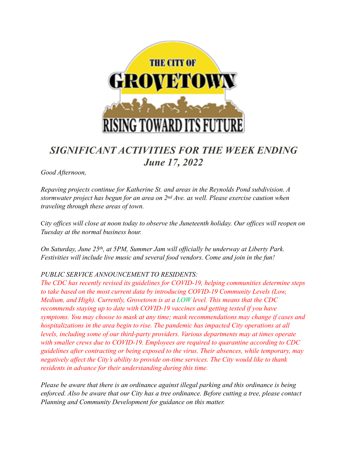

# *SIGNIFICANT ACTIVITIES FOR THE WEEK ENDING June 17, 2022*

*Good Afternoon,* 

*Repaving projects continue for Katherine St. and areas in the Reynolds Pond subdivision. A stormwater project has begun for an area on 2nd Ave. as well. Please exercise caution when traveling through these areas of town.* 

C*ity offices will close at noon today to observe the Juneteenth holiday. Our offices will reopen on Tuesday at the normal business hour.* 

*On Saturday, June 25th, at 5PM, Summer Jam will officially be underway at Liberty Park. Festivities will include live music and several food vendors. Come and join in the fun!* 

#### *PUBLIC SERVICE ANNOUNCEMENT TO RESIDENTS:*

*The CDC has recently revised its guidelines for COVID-19, helping communities determine steps to take based on the most current data by introducing COVID-19 Community Levels (Low, Medium, and High). Currently, Grovetown is at a LOW level. This means that the CDC recommends staying up to date with COVID-19 vaccines and getting tested if you have symptoms. You may choose to mask at any time; mask recommendations may change if cases and hospitalizations in the area begin to rise. The pandemic has impacted City operations at all levels, including some of our third-party providers. Various departments may at times operate with smaller crews due to COVID-19. Employees are required to quarantine according to CDC guidelines after contracting or being exposed to the virus. Their absences, while temporary, may negatively affect the City's ability to provide on-time services. The City would like to thank residents in advance for their understanding during this time.* 

*Please be aware that there is an ordinance against illegal parking and this ordinance is being enforced. Also be aware that our City has a tree ordinance. Before cutting a tree, please contact Planning and Community Development for guidance on this matter.*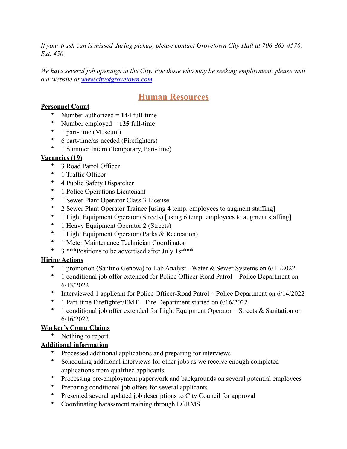*If your trash can is missed during pickup, please contact Grovetown City Hall at 706-863-4576, Ext. 450.* 

*We have several job openings in the City. For those who may be seeking employment, please visit our website at [www.cityofgrovetown.com.](http://www.cityofgrovetown.com)* 

## **Human Resources**

#### **Personnel Count**

- Number authorized = **144** full-time
- Number employed = **125** full-time
- 1 part-time (Museum)
- 6 part-time/as needed (Firefighters)
- 1 Summer Intern (Temporary, Part-time)

### **Vacancies (19)**

- 3 Road Patrol Officer
- 1 Traffic Officer
- 4 Public Safety Dispatcher
- 1 Police Operations Lieutenant
- 1 Sewer Plant Operator Class 3 License
- 2 Sewer Plant Operator Trainee [using 4 temp. employees to augment staffing]
- 1 Light Equipment Operator (Streets) [using 6 temp. employees to augment staffing]
- 1 Heavy Equipment Operator 2 (Streets)
- 1 Light Equipment Operator (Parks & Recreation)
- 1 Meter Maintenance Technician Coordinator
- 3 \*\*\*Positions to be advertised after July 1st\*\*\*

### **Hiring Actions**

- 1 promotion (Santino Genova) to Lab Analyst Water & Sewer Systems on 6/11/2022
- 1 conditional job offer extended for Police Officer-Road Patrol Police Department on 6/13/2022
- Interviewed 1 applicant for Police Officer-Road Patrol Police Department on 6/14/2022
- 1 Part-time Firefighter/EMT Fire Department started on 6/16/2022
- 1 conditional job offer extended for Light Equipment Operator Streets & Sanitation on 6/16/2022

### **Worker's Comp Claims**

• Nothing to report

### **Additional information**

- Processed additional applications and preparing for interviews
- Scheduling additional interviews for other jobs as we receive enough completed applications from qualified applicants
- Processing pre-employment paperwork and backgrounds on several potential employees
- Preparing conditional job offers for several applicants
- Presented several updated job descriptions to City Council for approval
- Coordinating harassment training through LGRMS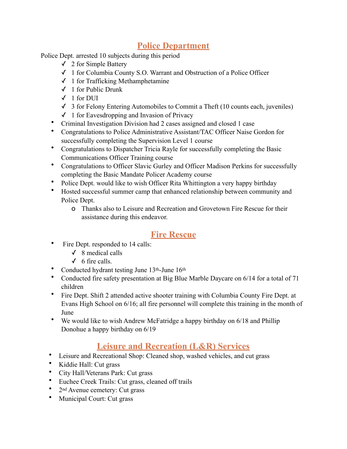## **Police Department**

Police Dept. arrested 10 subjects during this period

- $\checkmark$  2 for Simple Battery
- ✓ 1 for Columbia County S.O. Warrant and Obstruction of a Police Officer
- ✓ 1 for Trafficking Methamphetamine
- ✓ 1 for Public Drunk
- $\checkmark$  1 for DUI
- $\checkmark$  3 for Felony Entering Automobiles to Commit a Theft (10 counts each, juveniles)
- ✓ 1 for Eavesdropping and Invasion of Privacy
- Criminal Investigation Division had 2 cases assigned and closed 1 case
- Congratulations to Police Administrative Assistant/TAC Officer Naise Gordon for successfully completing the Supervision Level 1 course
- Congratulations to Dispatcher Tricia Rayle for successfully completing the Basic Communications Officer Training course
- Congratulations to Officer Slavic Gurley and Officer Madison Perkins for successfully completing the Basic Mandate Policer Academy course
- Police Dept. would like to wish Officer Rita Whittington a very happy birthday
- Hosted successful summer camp that enhanced relationship between community and Police Dept.
	- o Thanks also to Leisure and Recreation and Grovetown Fire Rescue for their assistance during this endeavor.

## **Fire Rescue**

- Fire Dept. responded to 14 calls:
	- $\checkmark$  8 medical calls
	- $\checkmark$  6 fire calls.
- Conducted hydrant testing June 13<sup>th</sup>-June 16<sup>th</sup>
- Conducted fire safety presentation at Big Blue Marble Daycare on 6/14 for a total of 71 children
- Fire Dept. Shift 2 attended active shooter training with Columbia County Fire Dept. at Evans High School on 6/16; all fire personnel will complete this training in the month of June
- We would like to wish Andrew McFatridge a happy birthday on 6/18 and Phillip Donohue a happy birthday on 6/19

## **Leisure and Recreation (L&R) Services**

- Leisure and Recreational Shop: Cleaned shop, washed vehicles, and cut grass
- Kiddie Hall: Cut grass
- City Hall/Veterans Park: Cut grass
- Euchee Creek Trails: Cut grass, cleaned off trails
- 2<sup>nd</sup> Avenue cemetery: Cut grass
- Municipal Court: Cut grass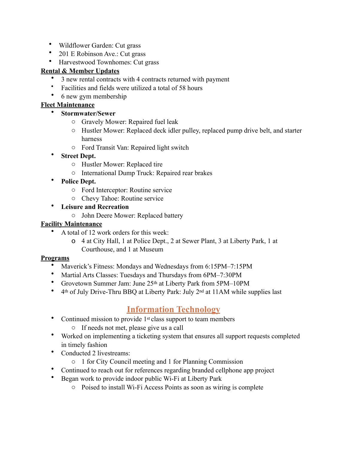- Wildflower Garden: Cut grass
- 201 E Robinson Ave.: Cut grass
- Harvestwood Townhomes: Cut grass

#### **Rental & Member Updates**

- 3 new rental contracts with 4 contracts returned with payment
- Facilities and fields were utilized a total of 58 hours
- 6 new gym membership

#### **Fleet Maintenance**

- **Stormwater/Sewer** 
	- o Gravely Mower: Repaired fuel leak
	- o Hustler Mower: Replaced deck idler pulley, replaced pump drive belt, and starter harness
	- o Ford Transit Van: Repaired light switch

#### • **Street Dept.**

- o Hustler Mower: Replaced tire
- o International Dump Truck: Repaired rear brakes
- **Police Dept.** 
	- o Ford Interceptor: Routine service
	- o Chevy Tahoe: Routine service
- **Leisure and Recreation** 
	- o John Deere Mower: Replaced battery

#### **Facility Maintenance**

- A total of 12 work orders for this week:
	- o 4 at City Hall, 1 at Police Dept., 2 at Sewer Plant, 3 at Liberty Park, 1 at Courthouse, and 1 at Museum

#### **Programs**

- Maverick's Fitness: Mondays and Wednesdays from 6:15PM–7:15PM
- Martial Arts Classes: Tuesdays and Thursdays from 6PM–7:30PM
- Grovetown Summer Jam: June 25th at Liberty Park from 5PM–10PM
- 4th of July Drive-Thru BBQ at Liberty Park: July 2nd at 11AM while supplies last

### **Information Technology**

- Continued mission to provide 1<sup>st</sup> class support to team members
	- o If needs not met, please give us a call
- Worked on implementing a ticketing system that ensures all support requests completed in timely fashion
- Conducted 2 livestreams:
	- o 1 for City Council meeting and 1 for Planning Commission
- Continued to reach out for references regarding branded cellphone app project
- Began work to provide indoor public Wi-Fi at Liberty Park
	- o Poised to install Wi-Fi Access Points as soon as wiring is complete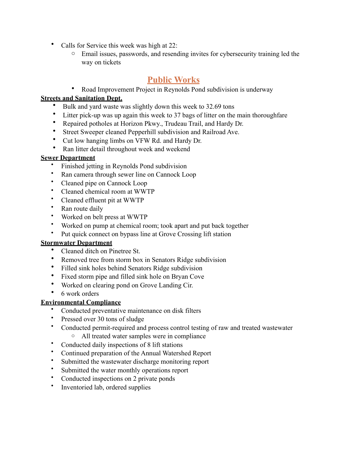- Calls for Service this week was high at 22:
	- Email issues, passwords, and resending invites for cybersecurity training led the way on tickets

## **Public Works**

• Road Improvement Project in Reynolds Pond subdivision is underway

#### **Streets and Sanitation Dept.**

- Bulk and yard waste was slightly down this week to 32.69 tons
- Litter pick-up was up again this week to 37 bags of litter on the main thoroughfare<br>• Penaired potholes at Horizon Pkwy Trudeau Trail, and Hardy Dr.
- Repaired potholes at Horizon Pkwy., Trudeau Trail, and Hardy Dr.
- Street Sweeper cleaned Pepperhill subdivision and Railroad Ave.
- Cut low hanging limbs on VFW Rd. and Hardy Dr.
- Ran litter detail throughout week and weekend

#### **Sewer Department**

- Finished jetting in Reynolds Pond subdivision
- Ran camera through sewer line on Cannock Loop
- Cleaned pipe on Cannock Loop
- Cleaned chemical room at WWTP
- Cleaned effluent pit at WWTP
- Ran route daily
- Worked on belt press at WWTP
- Worked on pump at chemical room; took apart and put back together
- Put quick connect on bypass line at Grove Crossing lift station

#### **Stormwater Department**

- Cleaned ditch on Pinetree St.
- Removed tree from storm box in Senators Ridge subdivision
- Filled sink holes behind Senators Ridge subdivision
- Fixed storm pipe and filled sink hole on Bryan Cove
- Worked on clearing pond on Grove Landing Cir.
- 6 work orders

#### **Environmental Compliance**

- Conducted preventative maintenance on disk filters
- Pressed over 30 tons of sludge
- Conducted permit-required and process control testing of raw and treated wastewater o All treated water samples were in compliance
- Conducted daily inspections of 8 lift stations
- Continued preparation of the Annual Watershed Report
- Submitted the wastewater discharge monitoring report
- Submitted the water monthly operations report
- Conducted inspections on 2 private ponds
- Inventoried lab, ordered supplies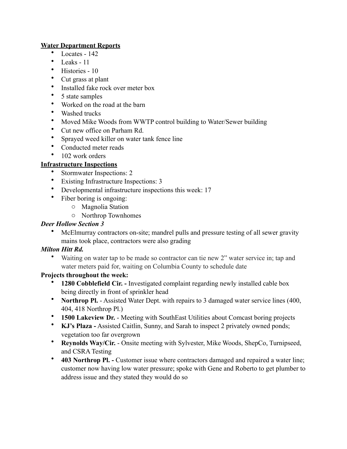#### **Water Department Reports**

- Locates 142
- Leaks 11
- Histories 10
- Cut grass at plant
- Installed fake rock over meter box
- 5 state samples
- Worked on the road at the barn
- Washed trucks
- Moved Mike Woods from WWTP control building to Water/Sewer building
- Cut new office on Parham Rd.
- Sprayed weed killer on water tank fence line
- Conducted meter reads
- 102 work orders

### **Infrastructure Inspections**

- Stormwater Inspections: 2
- Existing Infrastructure Inspections: 3
- Developmental infrastructure inspections this week: 17
- Fiber boring is ongoing:
	- o Magnolia Station
	- o Northrop Townhomes

#### *Deer Hollow Section 3*

• McElmurray contractors on-site; mandrel pulls and pressure testing of all sewer gravity mains took place, contractors were also grading

#### *Milton Hitt Rd.*

• Waiting on water tap to be made so contractor can tie new 2" water service in; tap and water meters paid for, waiting on Columbia County to schedule date

#### **Projects throughout the week:**

- **1280 Cobblefield Cir. -** Investigated complaint regarding newly installed cable box being directly in front of sprinkler head
- **Northrop Pl.** Assisted Water Dept. with repairs to 3 damaged water service lines (400, 404, 418 Northrop Pl.)
- **1500 Lakeview Dr.** Meeting with SouthEast Utilities about Comcast boring projects
- **KJ's Plaza -** Assisted Caitlin, Sunny, and Sarah to inspect 2 privately owned ponds; vegetation too far overgrown
- **Reynolds Way/Cir.** Onsite meeting with Sylvester, Mike Woods, ShepCo, Turnipseed, and CSRA Testing
- **403 Northrop Pl.** Customer issue where contractors damaged and repaired a water line; customer now having low water pressure; spoke with Gene and Roberto to get plumber to address issue and they stated they would do so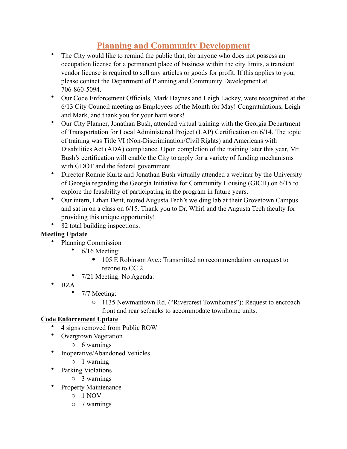# **Planning and Community Development**

- The City would like to remind the public that, for anyone who does not possess an occupation license for a permanent place of business within the city limits, a transient vendor license is required to sell any articles or goods for profit. If this applies to you, please contact the Department of Planning and Community Development at 706-860-5094.
- Our Code Enforcement Officials, Mark Haynes and Leigh Lackey, were recognized at the 6/13 City Council meeting as Employees of the Month for May! Congratulations, Leigh and Mark, and thank you for your hard work!
- Our City Planner, Jonathan Bush, attended virtual training with the Georgia Department of Transportation for Local Administered Project (LAP) Certification on 6/14. The topic of training was Title VI (Non-Discrimination/Civil Rights) and Americans with Disabilities Act (ADA) compliance. Upon completion of the training later this year, Mr. Bush's certification will enable the City to apply for a variety of funding mechanisms with GDOT and the federal government.
- Director Ronnie Kurtz and Jonathan Bush virtually attended a webinar by the University of Georgia regarding the Georgia Initiative for Community Housing (GICH) on 6/15 to explore the feasibility of participating in the program in future years.
- Our intern, Ethan Dent, toured Augusta Tech's welding lab at their Grovetown Campus and sat in on a class on 6/15. Thank you to Dr. Whirl and the Augusta Tech faculty for providing this unique opportunity!
- 82 total building inspections.

#### **Meeting Update**

- Planning Commission
	- 6/16 Meeting:
		- 105 E Robinson Ave.: Transmitted no recommendation on request to rezone to CC 2.
	- 7/21 Meeting: No Agenda.
- BZA
	- 7/7 Meeting:
		- o 1135 Newmantown Rd. ("Rivercrest Townhomes"): Request to encroach front and rear setbacks to accommodate townhome units.

### **Code Enforcement Update**

- 4 signs removed from Public ROW
- Overgrown Vegetation
	- o 6 warnings
- Inoperative/Abandoned Vehicles
	- o 1 warning
- Parking Violations
	- o 3 warnings
- Property Maintenance
	- o 1 NOV
	- o 7 warnings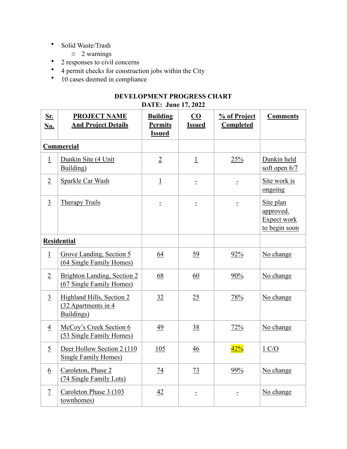- Solid Waste/Trash
	- o 2 warnings
- 2 responses to civil concerns
- 4 permit checks for construction jobs within the City
- 10 cases deemed in compliance

**DATE: June 17, 2022**

| Sr.                | <b>PROJECT NAME</b>                                             | <b>Building</b> | $\overline{\mathbf{C}}\mathbf{O}$ | % of Project | <b>Comments</b>                                               |
|--------------------|-----------------------------------------------------------------|-----------------|-----------------------------------|--------------|---------------------------------------------------------------|
| <b>No.</b>         | <b>And Project Details</b>                                      | <b>Permits</b>  | <b>Issued</b>                     | Completed    |                                                               |
|                    |                                                                 | <b>Issued</b>   |                                   |              |                                                               |
| Commercial         |                                                                 |                 |                                   |              |                                                               |
| $\overline{1}$     | Dunkin Site (4 Unit<br>Building)                                | $\overline{2}$  | $\overline{1}$                    | 25%          | Dunkin held<br>soft open $6/7$                                |
| $\overline{2}$     | Sparkle Car Wash                                                | $\perp$         | $\equiv$                          | $\bar{\Xi}$  | Site work is<br>ongoing                                       |
| $\overline{3}$     | <b>Therapy Trails</b>                                           | $\equiv$        | $\equiv$                          | $\equiv$     | Site plan<br>approved.<br><b>Expect work</b><br>to begin soon |
| <b>Residential</b> |                                                                 |                 |                                   |              |                                                               |
| $\overline{1}$     | Grove Landing, Section 5<br>(64 Single Family Homes)            | 64              | 59                                | 92%          | No change                                                     |
| $\overline{2}$     | Brighton Landing, Section 2<br>(67 Single Family Homes)         | 68              | 60                                | 90%          | No change                                                     |
| $\overline{3}$     | Highland Hills, Section 2<br>(32 Apartments in 4)<br>Buildings) | 32              | 25                                | 78%          | No change                                                     |
| $\overline{4}$     | McCoy's Creek Section 6<br>(53 Single Family Homes)             | 49              | 38                                | 72%          | No change                                                     |
| $\overline{5}$     | Deer Hollow Section 2 (110)<br><b>Single Family Homes)</b>      | 105             | 46                                | 42%          | $1 \text{ C/O}$                                               |
| $\underline{6}$    | Caroleton, Phase 2<br>(74 Single Family Lots)                   | 74              | 73                                | 99%          | No change                                                     |
| $\overline{1}$     | Caroleton Phase 3 (103)<br>townhomes)                           | 42              | $\equiv$                          | $\equiv$     | No change                                                     |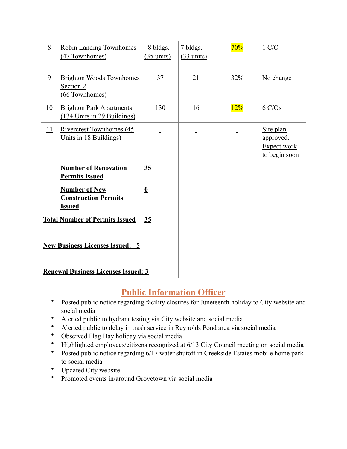| 8                                      | <b>Robin Landing Townhomes</b><br>(47 Townhomes)                     | 8 bldgs.<br>$(35 \text{ units})$ | 7 bldgs.<br>$(33 \text{ units})$ | 70% | 1 C/O                                                         |
|----------------------------------------|----------------------------------------------------------------------|----------------------------------|----------------------------------|-----|---------------------------------------------------------------|
| $\overline{9}$                         | <b>Brighton Woods Townhomes</b><br>Section 2<br>(66 Townhomes)       | 37                               | 21                               | 32% | No change                                                     |
| 10                                     | <b>Brighton Park Apartments</b><br>(134 Units in 29 Buildings)       | 130                              | 16                               | 12% | $6 \text{ C/Os}$                                              |
| 11                                     | Rivercrest Townhomes (45<br>Units in 18 Buildings)                   | $\equiv$                         | $\equiv$                         | Ė.  | Site plan<br><u>approved.</u><br>Expect work<br>to begin soon |
|                                        | <b>Number of Renovation</b><br><b>Permits Issued</b>                 | 35                               |                                  |     |                                                               |
|                                        | <b>Number of New</b><br><b>Construction Permits</b><br><b>Issued</b> | $\underline{\mathbf{0}}$         |                                  |     |                                                               |
|                                        | <b>Total Number of Permits Issued</b>                                | 35                               |                                  |     |                                                               |
| <b>New Business Licenses Issued: 5</b> |                                                                      |                                  |                                  |     |                                                               |
|                                        | <b>Renewal Business Licenses Issued: 3</b>                           |                                  |                                  |     |                                                               |

### **Public Information Officer**

- Posted public notice regarding facility closures for Juneteenth holiday to City website and social media
- Alerted public to hydrant testing via City website and social media
- Alerted public to delay in trash service in Reynolds Pond area via social media
- Observed Flag Day holiday via social media
- Highlighted employees/citizens recognized at 6/13 City Council meeting on social media
- Posted public notice regarding 6/17 water shutoff in Creekside Estates mobile home park to social media
- Updated City website
- Promoted events in/around Grovetown via social media